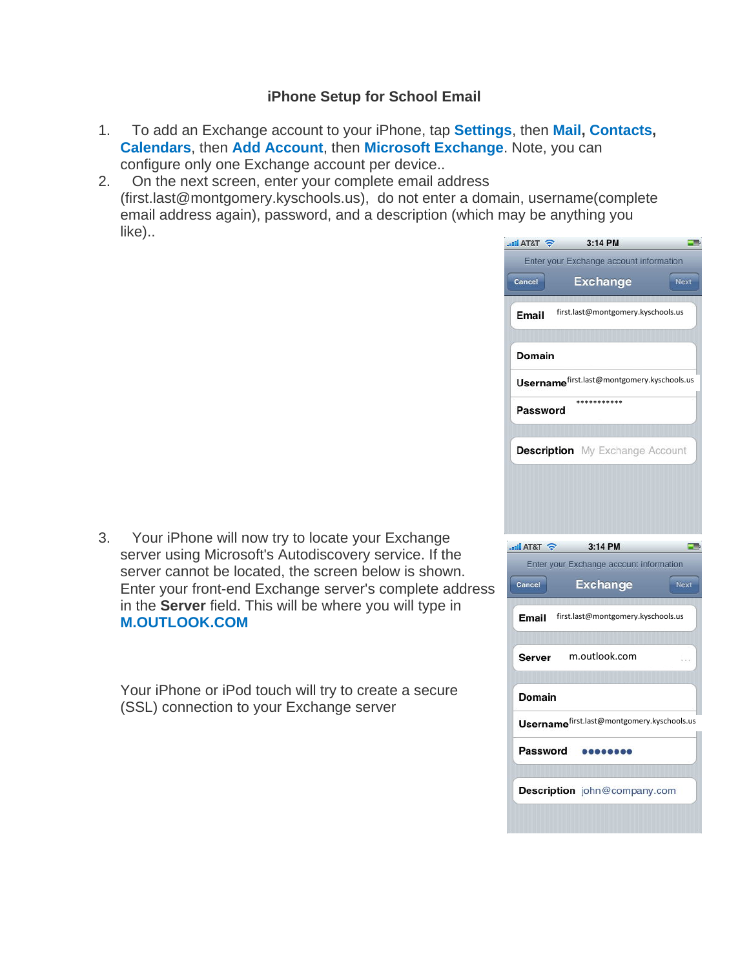## **iPhone Setup for School Email**

- 1. To add an Exchange account to your iPhone, tap **Settings**, then **Mail, Contacts, Calendars**, then **Add Account**, then **Microsoft Exchange**. Note, you can configure only one Exchange account per device..
- 2. On the next screen, enter your complete email address (first.last@montgomery.kyschools.us), do not enter a domain, username(complete email address again), password, and a description (which may be anything you like)..

|    | $\sim$ T&T Failure.                        | 3:14 PM                                    |             |
|----|--------------------------------------------|--------------------------------------------|-------------|
|    |                                            | Enter your Exchange account information    |             |
|    | Cancel                                     | <b>Exchange</b>                            | Next        |
|    | Email                                      | first.last@montgomery.kyschools.us         |             |
|    | Domain                                     |                                            |             |
|    | Usernamefirst.last@montgomery.kyschools.us |                                            |             |
|    | Password                                   | ***********                                |             |
|    |                                            | <b>Description</b> My Exchange Account     |             |
|    |                                            |                                            |             |
|    |                                            |                                            |             |
|    | $\epsilon$ T&TA $\ln$ .                    | 3:14 PM                                    | a in p      |
|    |                                            | Enter your Exchange account information    |             |
| ۱S | Cancel                                     | <b>Exchange</b>                            | <b>Next</b> |
|    | Email                                      | first.last@montgomery.kyschools.us         |             |
|    |                                            |                                            |             |
|    | Server                                     | m.outlook.com                              |             |
|    | Domain                                     |                                            |             |
|    |                                            | Usernamefirst.last@montgomery.kyschools.us |             |
|    | Password                                   |                                            |             |

3. Your iPhone will now try to locate your Exchange server using Microsoft's Autodiscovery service. If the server cannot be located, the screen below is shown. Enter your front-end Exchange server's complete address in the **Server** field. This will be where you will type in **M.OUTLOOK.COM**

Your iPhone or iPod touch will try to create a secure (SSL) connection to your Exchange server